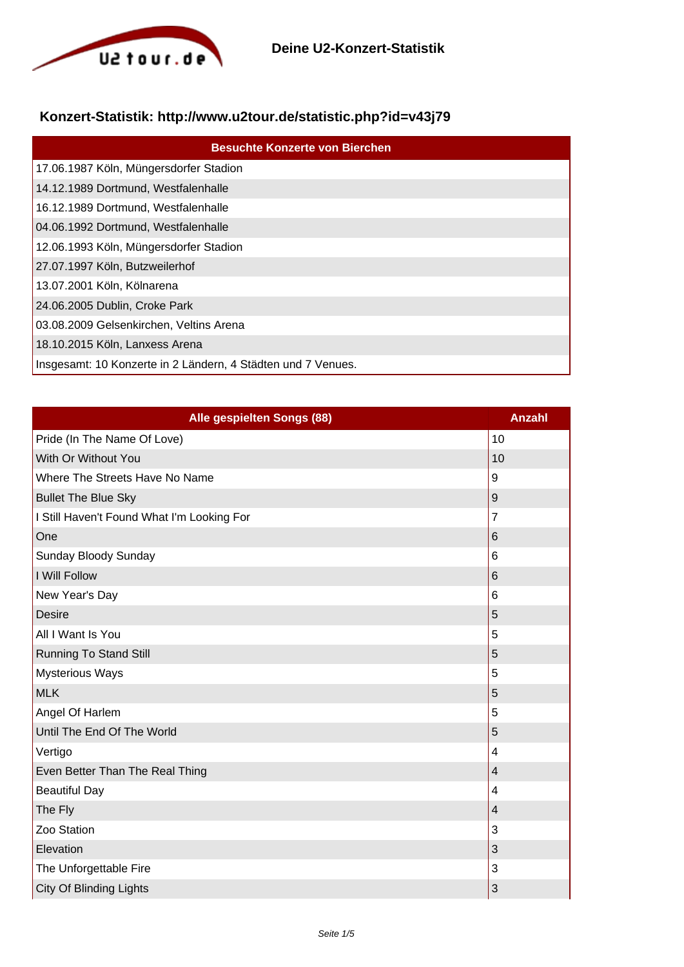

## **Konzert-Statistik: http://www.u2tour.de/statistic.php?id=v43j79**

| <b>Besuchte Konzerte von Bierchen</b>                        |  |
|--------------------------------------------------------------|--|
| 17.06.1987 Köln, Müngersdorfer Stadion                       |  |
| 14.12.1989 Dortmund, Westfalenhalle                          |  |
| 16.12.1989 Dortmund, Westfalenhalle                          |  |
| 04.06.1992 Dortmund, Westfalenhalle                          |  |
| 12.06.1993 Köln, Müngersdorfer Stadion                       |  |
| 27.07.1997 Köln, Butzweilerhof                               |  |
| 13.07.2001 Köln, Kölnarena                                   |  |
| 24.06.2005 Dublin, Croke Park                                |  |
| 03.08.2009 Gelsenkirchen, Veltins Arena                      |  |
| 18.10.2015 Köln, Lanxess Arena                               |  |
| Insgesamt: 10 Konzerte in 2 Ländern, 4 Städten und 7 Venues. |  |

| Alle gespielten Songs (88)                 | <b>Anzahl</b>    |
|--------------------------------------------|------------------|
| Pride (In The Name Of Love)                | 10               |
| With Or Without You                        | 10               |
| Where The Streets Have No Name             | 9                |
| <b>Bullet The Blue Sky</b>                 | $\boldsymbol{9}$ |
| I Still Haven't Found What I'm Looking For | $\overline{7}$   |
| One                                        | 6                |
| Sunday Bloody Sunday                       | 6                |
| I Will Follow                              | 6                |
| New Year's Day                             | 6                |
| <b>Desire</b>                              | 5                |
| All I Want Is You                          | 5                |
| <b>Running To Stand Still</b>              | 5                |
| <b>Mysterious Ways</b>                     | 5                |
| <b>MLK</b>                                 | 5                |
| Angel Of Harlem                            | 5                |
| Until The End Of The World                 | 5                |
| Vertigo                                    | 4                |
| Even Better Than The Real Thing            | 4                |
| <b>Beautiful Day</b>                       | 4                |
| The Fly                                    | 4                |
| Zoo Station                                | 3                |
| Elevation                                  | 3                |
| The Unforgettable Fire                     | 3                |
| <b>City Of Blinding Lights</b>             | 3                |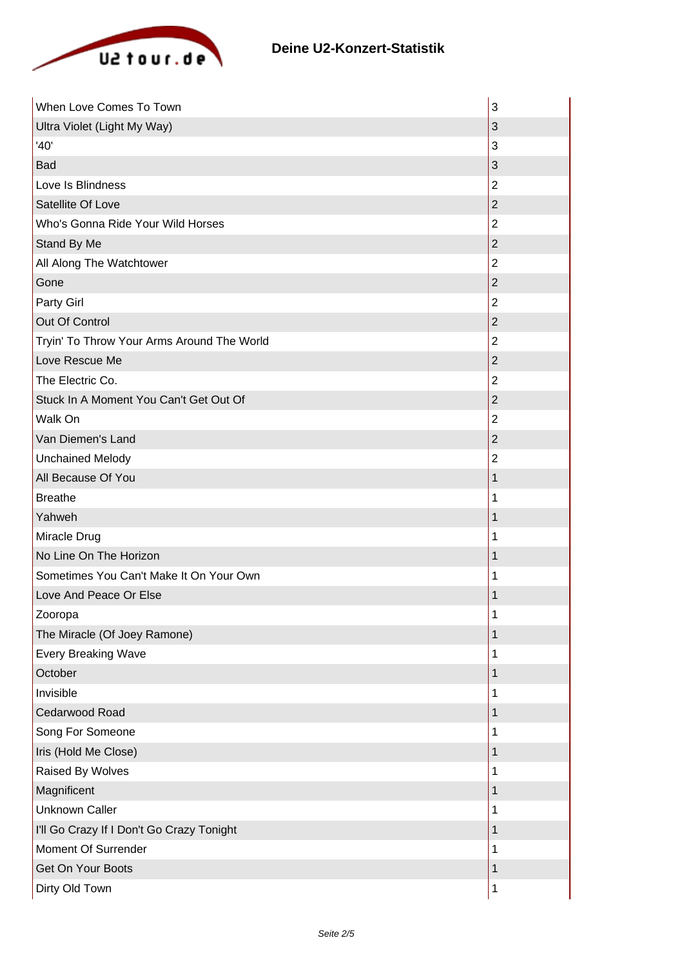

| When Love Comes To Town                    | 3              |
|--------------------------------------------|----------------|
| Ultra Violet (Light My Way)                | 3              |
| '40'                                       | 3              |
| Bad                                        | 3              |
| Love Is Blindness                          | $\overline{2}$ |
| Satellite Of Love                          | $\overline{2}$ |
| Who's Gonna Ride Your Wild Horses          | $\overline{2}$ |
| Stand By Me                                | $\overline{2}$ |
| All Along The Watchtower                   | $\overline{2}$ |
| Gone                                       | $\mathbf 2$    |
| Party Girl                                 | $\overline{2}$ |
| Out Of Control                             | $\overline{2}$ |
| Tryin' To Throw Your Arms Around The World | $\overline{2}$ |
| Love Rescue Me                             | $\overline{2}$ |
| The Electric Co.                           | $\overline{2}$ |
| Stuck In A Moment You Can't Get Out Of     | $\overline{2}$ |
| Walk On                                    | $\overline{2}$ |
| Van Diemen's Land                          | $\overline{2}$ |
| <b>Unchained Melody</b>                    | $\overline{2}$ |
| All Because Of You                         | 1              |
| <b>Breathe</b>                             | 1              |
| Yahweh                                     | 1              |
| Miracle Drug                               | 1              |
| No Line On The Horizon                     | 1              |
| Sometimes You Can't Make It On Your Own    | 1              |
| Love And Peace Or Else                     | 1              |
| Zooropa                                    | 1              |
| The Miracle (Of Joey Ramone)               | 1              |
| <b>Every Breaking Wave</b>                 | 1              |
| October                                    | 1              |
| Invisible                                  | 1              |
| Cedarwood Road                             | 1              |
| Song For Someone                           | 1              |
| Iris (Hold Me Close)                       | 1              |
| Raised By Wolves                           | 1              |
| Magnificent                                | 1              |
| <b>Unknown Caller</b>                      | 1              |
| I'll Go Crazy If I Don't Go Crazy Tonight  | 1              |
| Moment Of Surrender                        | 1              |
| <b>Get On Your Boots</b>                   | 1              |
| Dirty Old Town                             | 1              |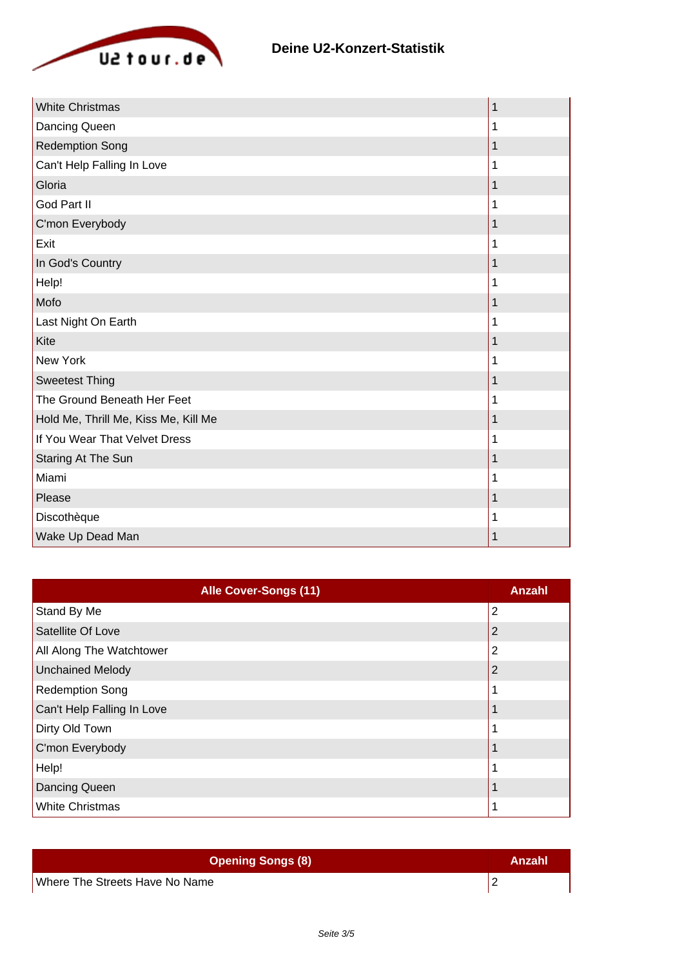

| <b>White Christmas</b>               | 1 |
|--------------------------------------|---|
| Dancing Queen                        | 1 |
| <b>Redemption Song</b>               | 1 |
| Can't Help Falling In Love           | 1 |
| Gloria                               | 1 |
| God Part II                          | 1 |
| C'mon Everybody                      | 1 |
| Exit                                 | 1 |
| In God's Country                     | 1 |
| Help!                                | 1 |
| Mofo                                 | 1 |
| Last Night On Earth                  | 1 |
| Kite                                 | 1 |
| <b>New York</b>                      | 1 |
| <b>Sweetest Thing</b>                | 1 |
| The Ground Beneath Her Feet          | 1 |
| Hold Me, Thrill Me, Kiss Me, Kill Me | 1 |
| If You Wear That Velvet Dress        | 1 |
| Staring At The Sun                   | 1 |
| Miami                                | 1 |
| Please                               | 1 |
| Discothèque                          | 1 |
| Wake Up Dead Man                     | 1 |

| <b>Alle Cover-Songs (11)</b> | Anzahl         |
|------------------------------|----------------|
| Stand By Me                  | $\overline{2}$ |
| Satellite Of Love            |                |
| All Along The Watchtower     | 2              |
| Unchained Melody             | 2              |
| <b>Redemption Song</b>       |                |
| Can't Help Falling In Love   |                |
| Dirty Old Town               |                |
| C'mon Everybody              |                |
| Help!                        |                |
| Dancing Queen                |                |
| <b>White Christmas</b>       |                |

| <b>Opening Songs (8)</b>       | Anzahl |
|--------------------------------|--------|
| Where The Streets Have No Name |        |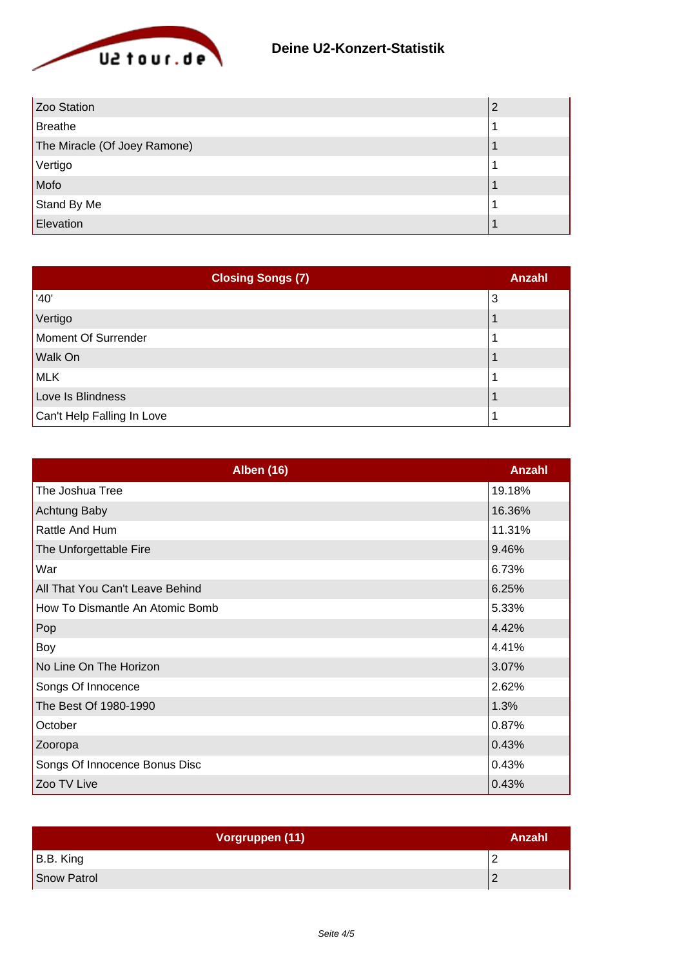

| Zoo Station                  |  |
|------------------------------|--|
| Breathe                      |  |
| The Miracle (Of Joey Ramone) |  |
| Vertigo                      |  |
| Mofo                         |  |
| Stand By Me                  |  |
| Elevation                    |  |

| <b>Closing Songs (7)</b>   | Anzahl |
|----------------------------|--------|
| '40'                       | 3      |
| Vertigo                    |        |
| Moment Of Surrender        |        |
| Walk On                    |        |
| MLK                        |        |
| Love Is Blindness          |        |
| Can't Help Falling In Love |        |

| <b>Alben (16)</b>               | Anzahl |
|---------------------------------|--------|
| The Joshua Tree                 | 19.18% |
| <b>Achtung Baby</b>             | 16.36% |
| Rattle And Hum                  | 11.31% |
| The Unforgettable Fire          | 9.46%  |
| War                             | 6.73%  |
| All That You Can't Leave Behind | 6.25%  |
| How To Dismantle An Atomic Bomb | 5.33%  |
| Pop                             | 4.42%  |
| Boy                             | 4.41%  |
| No Line On The Horizon          | 3.07%  |
| Songs Of Innocence              | 2.62%  |
| The Best Of 1980-1990           | 1.3%   |
| October                         | 0.87%  |
| Zooropa                         | 0.43%  |
| Songs Of Innocence Bonus Disc   | 0.43%  |
| Zoo TV Live                     | 0.43%  |

| Vorgruppen (11) | Anzahl |
|-----------------|--------|
| B.B. King       |        |
| Snow Patrol     |        |